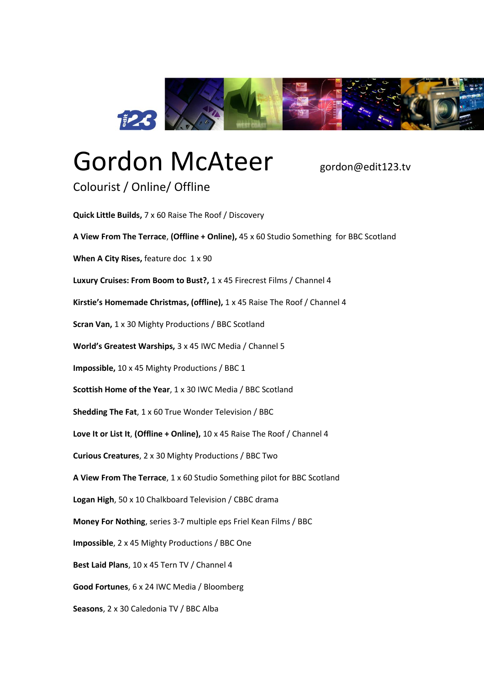

## Gordon McAteer gordon@edit123.tv

Colourist / Online/ Offline

**Quick Little Builds,** 7 x 60 Raise The Roof / Discovery **A View From The Terrace**, **(Offline + Online),** 45 x 60 Studio Something for BBC Scotland **When A City Rises,** feature doc 1 x 90 **Luxury Cruises: From Boom to Bust?,** 1 x 45 Firecrest Films / Channel 4 **Kirstie's Homemade Christmas, (offline),** 1 x 45 Raise The Roof / Channel 4 **Scran Van,** 1 x 30 Mighty Productions / BBC Scotland **World's Greatest Warships,** 3 x 45 IWC Media / Channel 5 **Impossible,** 10 x 45 Mighty Productions / BBC 1 **Scottish Home of the Year**, 1 x 30 IWC Media / BBC Scotland **Shedding The Fat**, 1 x 60 True Wonder Television / BBC **Love It or List It**, **(Offline + Online),** 10 x 45 Raise The Roof / Channel 4 **Curious Creatures**, 2 x 30 Mighty Productions / BBC Two **A View From The Terrace**, 1 x 60 Studio Something pilot for BBC Scotland **Logan High**, 50 x 10 Chalkboard Television / CBBC drama **Money For Nothing**, series 3-7 multiple eps Friel Kean Films / BBC **Impossible**, 2 x 45 Mighty Productions / BBC One **Best Laid Plans**, 10 x 45 Tern TV / Channel 4 **Good Fortunes**, 6 x 24 IWC Media / Bloomberg **Seasons**, 2 x 30 Caledonia TV / BBC Alba